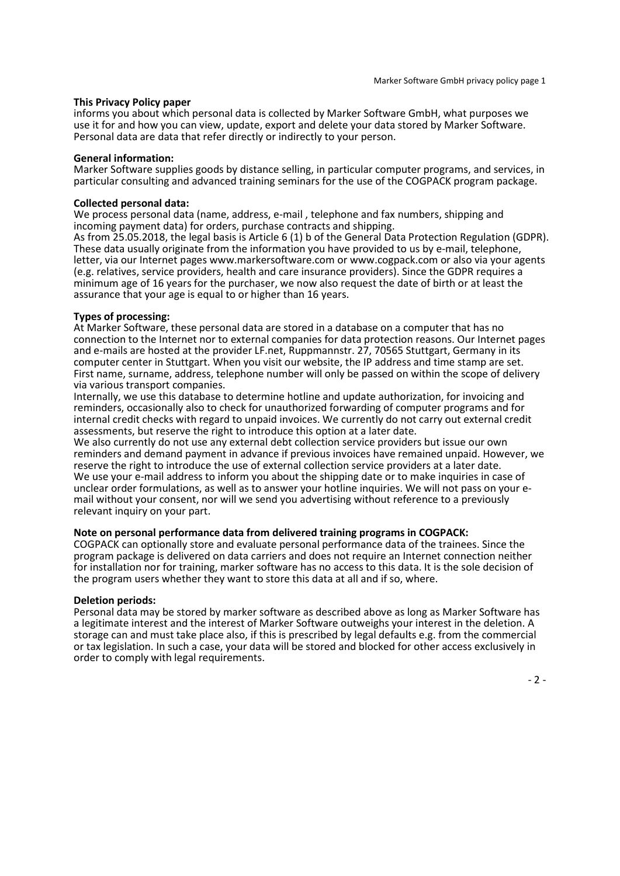#### This Privacy Policy paper

informs you about which personal data is collected by Marker Software GmbH, what purposes we use it for and how you can view, update, export and delete your data stored by Marker Software. Personal data are data that refer directly or indirectly to your person.

#### General information:

Marker Software supplies goods by distance selling, in particular computer programs, and services, in particular consulting and advanced training seminars for the use of the COGPACK program package.

### Collected personal data:

We process personal data (name, address, e-mail , telephone and fax numbers, shipping and incoming payment data) for orders, purchase contracts and shipping.

As from 25.05.2018, the legal basis is Article 6 (1) b of the General Data Protection Regulation (GDPR). These data usually originate from the information you have provided to us by e-mail, telephone, letter, via our Internet pages www.markersoftware.com or www.cogpack.com or also via your agents (e.g. relatives, service providers, health and care insurance providers). Since the GDPR requires a minimum age of 16 years for the purchaser, we now also request the date of birth or at least the assurance that your age is equal to or higher than 16 years.

## Types of processing:

At Marker Software, these personal data are stored in a database on a computer that has no connection to the Internet nor to external companies for data protection reasons. Our Internet pages and e-mails are hosted at the provider LF.net, Ruppmannstr. 27, 70565 Stuttgart, Germany in its computer center in Stuttgart. When you visit our website, the IP address and time stamp are set. First name, surname, address, telephone number will only be passed on within the scope of delivery via various transport companies.

Internally, we use this database to determine hotline and update authorization, for invoicing and reminders, occasionally also to check for unauthorized forwarding of computer programs and for internal credit checks with regard to unpaid invoices. We currently do not carry out external credit assessments, but reserve the right to introduce this option at a later date.

We also currently do not use any external debt collection service providers but issue our own reminders and demand payment in advance if previous invoices have remained unpaid. However, we reserve the right to introduce the use of external collection service providers at a later date. We use your e-mail address to inform you about the shipping date or to make inquiries in case of unclear order formulations, as well as to answer your hotline inquiries. We will not pass on your email without your consent, nor will we send you advertising without reference to a previously relevant inquiry on your part.

# Note on personal performance data from delivered training programs in COGPACK:

COGPACK can optionally store and evaluate personal performance data of the trainees. Since the program package is delivered on data carriers and does not require an Internet connection neither for installation nor for training, marker software has no access to this data. It is the sole decision of the program users whether they want to store this data at all and if so, where.

## Deletion periods:

Personal data may be stored by marker software as described above as long as Marker Software has a legitimate interest and the interest of Marker Software outweighs your interest in the deletion. A storage can and must take place also, if this is prescribed by legal defaults e.g. from the commercial or tax legislation. In such a case, your data will be stored and blocked for other access exclusively in order to comply with legal requirements.